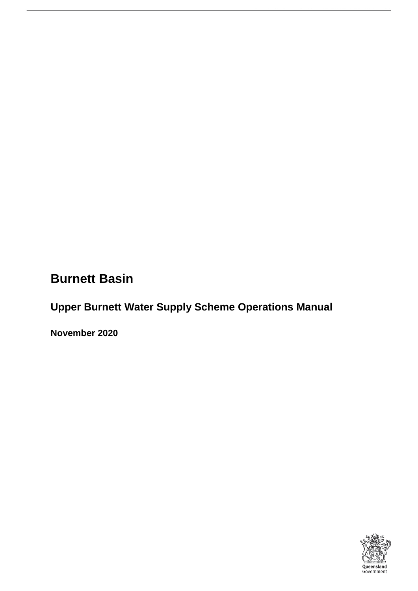## **Burnett Basin**

## **Upper Burnett Water Supply Scheme Operations Manual**

**November 2020**

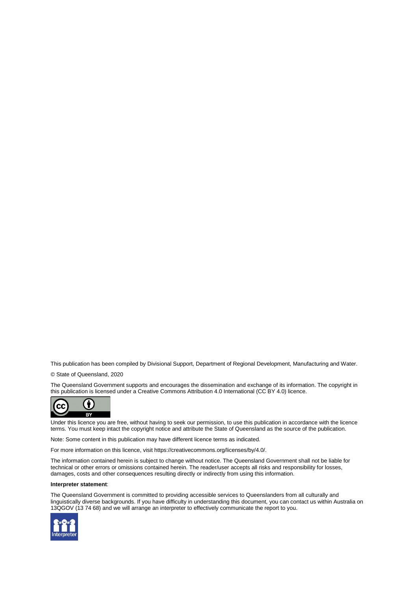This publication has been compiled by Divisional Support, Department of Regional Development, Manufacturing and Water.

© State of Queensland, 2020

The Queensland Government supports and encourages the dissemination and exchange of its information. The copyright in this publication is licensed under a Creative Commons Attribution 4.0 International (CC BY 4.0) licence.



Under this licence you are free, without having to seek our permission, to use this publication in accordance with the licence terms. You must keep intact the copyright notice and attribute the State of Queensland as the source of the publication.

Note: Some content in this publication may have different licence terms as indicated.

For more information on this licence, visit https://creativecommons.org/licenses/by/4.0/.

The information contained herein is subject to change without notice. The Queensland Government shall not be liable for technical or other errors or omissions contained herein. The reader/user accepts all risks and responsibility for losses, damages, costs and other consequences resulting directly or indirectly from using this information.

#### **Interpreter statement**:

The Queensland Government is committed to providing accessible services to Queenslanders from all culturally and linguistically diverse backgrounds. If you have difficulty in understanding this document, you can contact us within Australia on 13QGOV (13 74 68) and we will arrange an interpreter to effectively communicate the report to you.

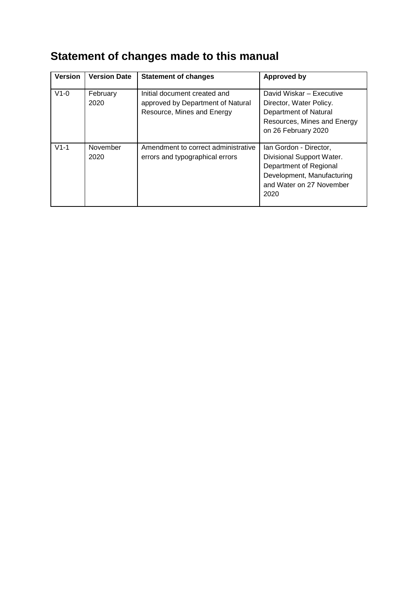# **Statement of changes made to this manual**

| <b>Version</b> | <b>Version Date</b> | <b>Statement of changes</b>                                                                     | <b>Approved by</b>                                                                                                                              |
|----------------|---------------------|-------------------------------------------------------------------------------------------------|-------------------------------------------------------------------------------------------------------------------------------------------------|
| $V1-0$         | February<br>2020    | Initial document created and<br>approved by Department of Natural<br>Resource, Mines and Energy | David Wiskar - Executive<br>Director, Water Policy.<br>Department of Natural<br>Resources, Mines and Energy<br>on 26 February 2020              |
| $V1-1$         | November<br>2020    | Amendment to correct administrative<br>errors and typographical errors                          | Ian Gordon - Director,<br>Divisional Support Water.<br>Department of Regional<br>Development, Manufacturing<br>and Water on 27 November<br>2020 |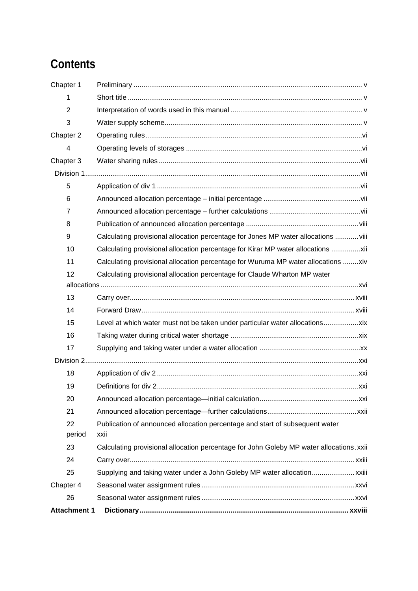## **Contents**

| Chapter 1           |                                                                                         |
|---------------------|-----------------------------------------------------------------------------------------|
| 1                   |                                                                                         |
| $\overline{2}$      |                                                                                         |
| 3                   |                                                                                         |
| Chapter 2           |                                                                                         |
| 4                   |                                                                                         |
| Chapter 3           |                                                                                         |
|                     |                                                                                         |
| 5                   |                                                                                         |
| 6                   |                                                                                         |
| $\overline{7}$      |                                                                                         |
| 8                   |                                                                                         |
| 9                   | Calculating provisional allocation percentage for Jones MP water allocations  viii      |
| 10                  | Calculating provisional allocation percentage for Kirar MP water allocations            |
| 11                  | Calculating provisional allocation percentage for Wuruma MP water allocations xiv       |
| 12                  | Calculating provisional allocation percentage for Claude Wharton MP water               |
|                     |                                                                                         |
| 13                  |                                                                                         |
| 14                  |                                                                                         |
| 15                  | Level at which water must not be taken under particular water allocations               |
| 16                  |                                                                                         |
| 17                  |                                                                                         |
|                     |                                                                                         |
| 18                  |                                                                                         |
| 19                  |                                                                                         |
| 20                  |                                                                                         |
| 21                  |                                                                                         |
| 22                  | Publication of announced allocation percentage and start of subsequent water            |
| period              | xxii                                                                                    |
| 23                  | Calculating provisional allocation percentage for John Goleby MP water allocations.xxii |
| 24                  |                                                                                         |
| 25                  |                                                                                         |
| Chapter 4           |                                                                                         |
| 26                  |                                                                                         |
| <b>Attachment 1</b> |                                                                                         |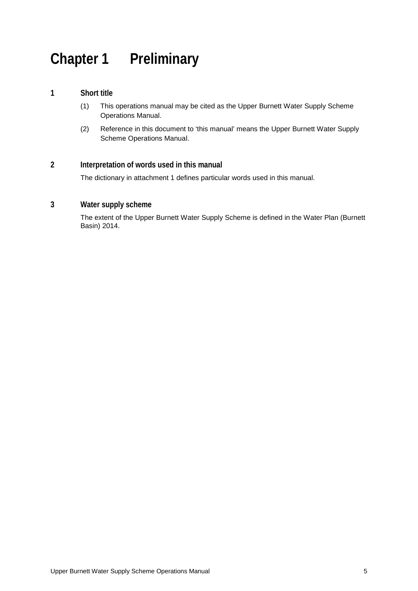# **Chapter 1 Preliminary**

### **1 Short title**

- (1) This operations manual may be cited as the Upper Burnett Water Supply Scheme Operations Manual.
- (2) Reference in this document to 'this manual' means the Upper Burnett Water Supply Scheme Operations Manual.

### **2 Interpretation of words used in this manual**

The dictionary in attachment 1 defines particular words used in this manual.

## **3 Water supply scheme**

The extent of the Upper Burnett Water Supply Scheme is defined in the Water Plan (Burnett Basin) 2014.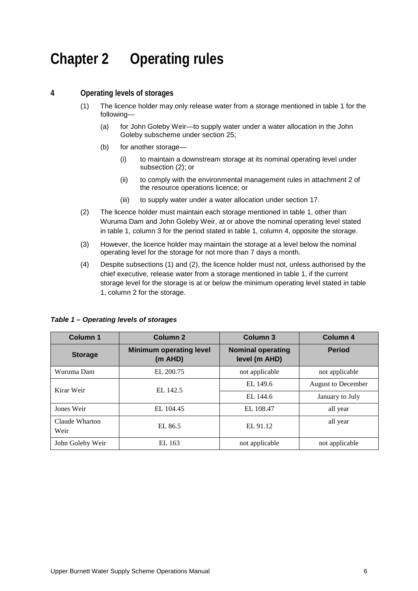# **Chapter 2 Operating rules**

### **4 Operating levels of storages**

- (1) The licence holder may only release water from a storage mentioned in table 1 for the following—
	- (a) for John Goleby Weir—to supply water under a water allocation in the John Goleby subscheme under section 25;
	- (b) for another storage—
		- (i) to maintain a downstream storage at its nominal operating level under subsection (2); or
		- (ii) to comply with the environmental management rules in attachment 2 of the resource operations licence; or
		- (iii) to supply water under a water allocation under section 17.
- (2) The licence holder must maintain each storage mentioned in table 1, other than Wuruma Dam and John Goleby Weir, at or above the nominal operating level stated in table 1, column 3 for the period stated in table 1, column 4, opposite the storage.
- (3) However, the licence holder may maintain the storage at a level below the nominal operating level for the storage for not more than 7 days a month.
- (4) Despite subsections (1) and (2), the licence holder must not, unless authorised by the chief executive, release water from a storage mentioned in table 1, if the current storage level for the storage is at or below the minimum operating level stated in table 1, column 2 for the storage.

| Column <sub>1</sub>    | Column <sub>2</sub>                       | Column <sub>3</sub>                       | Column 4                  |
|------------------------|-------------------------------------------|-------------------------------------------|---------------------------|
| <b>Storage</b>         | <b>Minimum operating level</b><br>(m AHD) | <b>Nominal operating</b><br>level (m AHD) | <b>Period</b>             |
| Wuruma Dam             | EL 200.75                                 | not applicable                            | not applicable            |
| Kirar Weir             | EL 142.5                                  | EL 149.6                                  | <b>August to December</b> |
|                        |                                           | EL 144.6                                  | January to July           |
| Jones Weir             | EL 104.45                                 | EL 108.47                                 | all year                  |
| Claude Wharton<br>Weir | EL 86.5                                   | EL 91.12                                  | all year                  |
| John Goleby Weir       | EL 163                                    | not applicable                            | not applicable            |

#### *Table 1 – Operating levels of storages*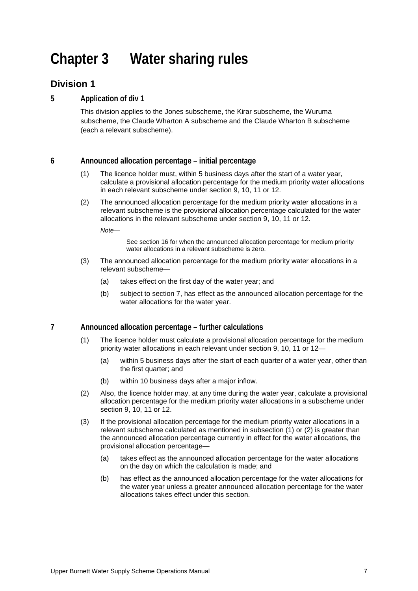# **Chapter 3 Water sharing rules**

## **Division 1**

#### **5 Application of div 1**

This division applies to the Jones subscheme, the Kirar subscheme, the Wuruma subscheme, the Claude Wharton A subscheme and the Claude Wharton B subscheme (each a relevant subscheme).

#### **6 Announced allocation percentage – initial percentage**

- (1) The licence holder must, within 5 business days after the start of a water year, calculate a provisional allocation percentage for the medium priority water allocations in each relevant subscheme under section 9, 10, 11 or 12.
- (2) The announced allocation percentage for the medium priority water allocations in a relevant subscheme is the provisional allocation percentage calculated for the water allocations in the relevant subscheme under section 9, 10, 11 or 12.

*Note—*

See section 16 for when the announced allocation percentage for medium priority water allocations in a relevant subscheme is zero.

- (3) The announced allocation percentage for the medium priority water allocations in a relevant subscheme—
	- (a) takes effect on the first day of the water year; and
	- (b) subject to section 7, has effect as the announced allocation percentage for the water allocations for the water year.

#### **7 Announced allocation percentage – further calculations**

- (1) The licence holder must calculate a provisional allocation percentage for the medium priority water allocations in each relevant under section 9, 10, 11 or 12—
	- (a) within 5 business days after the start of each quarter of a water year, other than the first quarter; and
	- (b) within 10 business days after a major inflow.
- (2) Also, the licence holder may, at any time during the water year, calculate a provisional allocation percentage for the medium priority water allocations in a subscheme under section 9, 10, 11 or 12.
- (3) If the provisional allocation percentage for the medium priority water allocations in a relevant subscheme calculated as mentioned in subsection (1) or (2) is greater than the announced allocation percentage currently in effect for the water allocations, the provisional allocation percentage—
	- (a) takes effect as the announced allocation percentage for the water allocations on the day on which the calculation is made; and
	- (b) has effect as the announced allocation percentage for the water allocations for the water year unless a greater announced allocation percentage for the water allocations takes effect under this section.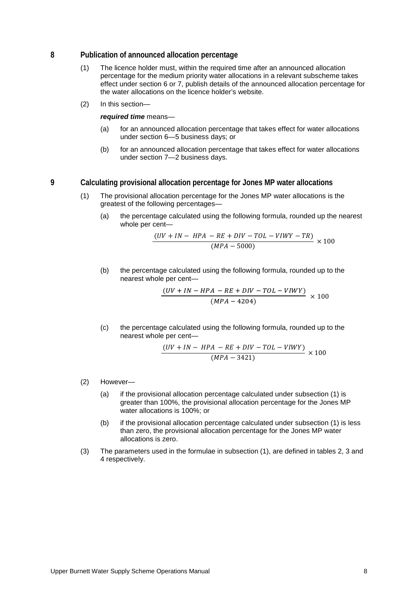#### **8 Publication of announced allocation percentage**

- (1) The licence holder must, within the required time after an announced allocation percentage for the medium priority water allocations in a relevant subscheme takes effect under section 6 or 7, publish details of the announced allocation percentage for the water allocations on the licence holder's website.
- (2) In this section—

*required time* means—

- (a) for an announced allocation percentage that takes effect for water allocations under section 6—5 business days; or
- (b) for an announced allocation percentage that takes effect for water allocations under section 7—2 business days.

#### **9 Calculating provisional allocation percentage for Jones MP water allocations**

- (1) The provisional allocation percentage for the Jones MP water allocations is the greatest of the following percentages—
	- (a) the percentage calculated using the following formula, rounded up the nearest whole per cent—

$$
\frac{(UV + IN - HPA - RE + DIV - TOL - VIWY - TR)}{(MPA - 5000)} \times 100
$$

(b) the percentage calculated using the following formula, rounded up to the nearest whole per cent—

$$
\frac{(UV + IN - HPA - RE + DIV - TOL - VIWY)}{(MPA - 4204)} \times 100
$$

(c) the percentage calculated using the following formula, rounded up to the nearest whole per cent—

$$
\frac{(UV + IN - HPA - RE + DIV - TOL - VIWY)}{(MPA - 3421)} \times 100
$$

- (2) However—
	- (a) if the provisional allocation percentage calculated under subsection (1) is greater than 100%, the provisional allocation percentage for the Jones MP water allocations is 100%; or
	- (b) if the provisional allocation percentage calculated under subsection (1) is less than zero, the provisional allocation percentage for the Jones MP water allocations is zero.
- (3) The parameters used in the formulae in subsection (1), are defined in tables 2, 3 and 4 respectively.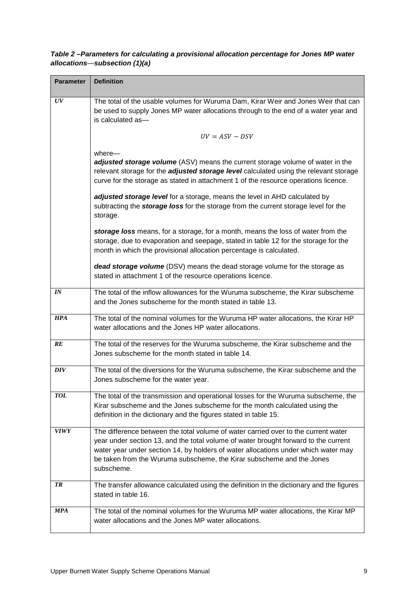| <b>Parameter</b> | <b>Definition</b>                                                                                                                                                                                                                                                                                                                                      |  |
|------------------|--------------------------------------------------------------------------------------------------------------------------------------------------------------------------------------------------------------------------------------------------------------------------------------------------------------------------------------------------------|--|
| UV               | The total of the usable volumes for Wuruma Dam, Kirar Weir and Jones Weir that can<br>be used to supply Jones MP water allocations through to the end of a water year and<br>is calculated as-                                                                                                                                                         |  |
|                  | $UV = ASV - DSV$                                                                                                                                                                                                                                                                                                                                       |  |
|                  | where-<br>adjusted storage volume (ASV) means the current storage volume of water in the<br>relevant storage for the <i>adjusted storage level</i> calculated using the relevant storage<br>curve for the storage as stated in attachment 1 of the resource operations licence.                                                                        |  |
|                  | adjusted storage level for a storage, means the level in AHD calculated by<br>subtracting the <i>storage loss</i> for the storage from the current storage level for the<br>storage.                                                                                                                                                                   |  |
|                  | storage loss means, for a storage, for a month, means the loss of water from the<br>storage, due to evaporation and seepage, stated in table 12 for the storage for the<br>month in which the provisional allocation percentage is calculated.                                                                                                         |  |
|                  | dead storage volume (DSV) means the dead storage volume for the storage as<br>stated in attachment 1 of the resource operations licence.                                                                                                                                                                                                               |  |
| $\bm{I}N$        | The total of the inflow allowances for the Wuruma subscheme, the Kirar subscheme<br>and the Jones subscheme for the month stated in table 13.                                                                                                                                                                                                          |  |
| <b>HPA</b>       | The total of the nominal volumes for the Wuruma HP water allocations, the Kirar HP<br>water allocations and the Jones HP water allocations.                                                                                                                                                                                                            |  |
| RE               | The total of the reserves for the Wuruma subscheme, the Kirar subscheme and the<br>Jones subscheme for the month stated in table 14.                                                                                                                                                                                                                   |  |
| DIV              | The total of the diversions for the Wuruma subscheme, the Kirar subscheme and the<br>Jones subscheme for the water year.                                                                                                                                                                                                                               |  |
| <b>TOL</b>       | The total of the transmission and operational losses for the Wuruma subscheme, the<br>Kirar subscheme and the Jones subscheme for the month calculated using the<br>definition in the dictionary and the figures stated in table 15.                                                                                                                   |  |
| <b>VIWY</b>      | The difference between the total volume of water carried over to the current water<br>year under section 13, and the total volume of water brought forward to the current<br>water year under section 14, by holders of water allocations under which water may<br>be taken from the Wuruma subscheme, the Kirar subscheme and the Jones<br>subscheme. |  |
| TR               | The transfer allowance calculated using the definition in the dictionary and the figures<br>stated in table 16.                                                                                                                                                                                                                                        |  |
| <b>MPA</b>       | The total of the nominal volumes for the Wuruma MP water allocations, the Kirar MP<br>water allocations and the Jones MP water allocations.                                                                                                                                                                                                            |  |

*Table 2 –Parameters for calculating a provisional allocation percentage for Jones MP water allocations*—*subsection (1)(a)*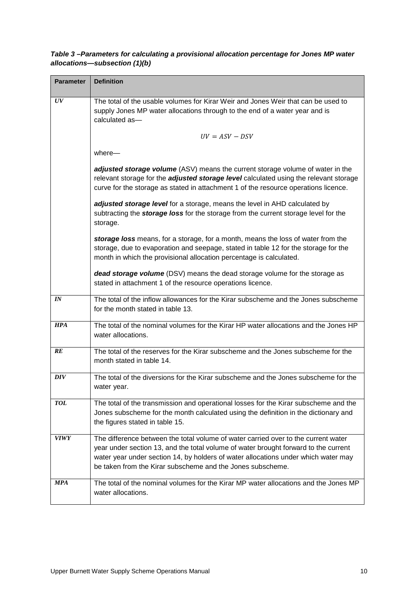| <b>Parameter</b> | <b>Definition</b>                                                                                                                                                                                                                                                                                                             |  |
|------------------|-------------------------------------------------------------------------------------------------------------------------------------------------------------------------------------------------------------------------------------------------------------------------------------------------------------------------------|--|
| UV               | The total of the usable volumes for Kirar Weir and Jones Weir that can be used to<br>supply Jones MP water allocations through to the end of a water year and is<br>calculated as-                                                                                                                                            |  |
|                  | $UV = ASV - DSV$                                                                                                                                                                                                                                                                                                              |  |
|                  | where-                                                                                                                                                                                                                                                                                                                        |  |
|                  | adjusted storage volume (ASV) means the current storage volume of water in the<br>relevant storage for the <i>adjusted storage level</i> calculated using the relevant storage<br>curve for the storage as stated in attachment 1 of the resource operations licence.                                                         |  |
|                  | adjusted storage level for a storage, means the level in AHD calculated by<br>subtracting the <i>storage loss</i> for the storage from the current storage level for the<br>storage.                                                                                                                                          |  |
|                  | storage loss means, for a storage, for a month, means the loss of water from the<br>storage, due to evaporation and seepage, stated in table 12 for the storage for the<br>month in which the provisional allocation percentage is calculated.                                                                                |  |
|                  | dead storage volume (DSV) means the dead storage volume for the storage as<br>stated in attachment 1 of the resource operations licence.                                                                                                                                                                                      |  |
| IN               | The total of the inflow allowances for the Kirar subscheme and the Jones subscheme<br>for the month stated in table 13.                                                                                                                                                                                                       |  |
| <b>HPA</b>       | The total of the nominal volumes for the Kirar HP water allocations and the Jones HP<br>water allocations.                                                                                                                                                                                                                    |  |
| RE               | The total of the reserves for the Kirar subscheme and the Jones subscheme for the<br>month stated in table 14.                                                                                                                                                                                                                |  |
| DIV              | The total of the diversions for the Kirar subscheme and the Jones subscheme for the<br>water year.                                                                                                                                                                                                                            |  |
| <b>TOL</b>       | The total of the transmission and operational losses for the Kirar subscheme and the<br>Jones subscheme for the month calculated using the definition in the dictionary and<br>the figures stated in table 15.                                                                                                                |  |
| <b>VIWY</b>      | The difference between the total volume of water carried over to the current water<br>year under section 13, and the total volume of water brought forward to the current<br>water year under section 14, by holders of water allocations under which water may<br>be taken from the Kirar subscheme and the Jones subscheme. |  |
| <b>MPA</b>       | The total of the nominal volumes for the Kirar MP water allocations and the Jones MP<br>water allocations.                                                                                                                                                                                                                    |  |

*Table 3 –Parameters for calculating a provisional allocation percentage for Jones MP water allocations—subsection (1)(b)*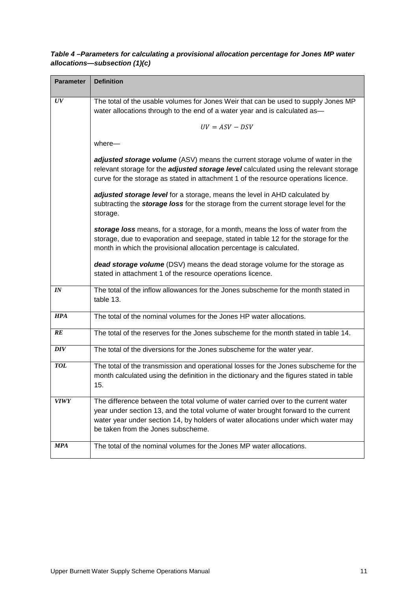| <b>Parameter</b> | <b>Definition</b>                                                                                                                                                                                                                                                                                     |  |
|------------------|-------------------------------------------------------------------------------------------------------------------------------------------------------------------------------------------------------------------------------------------------------------------------------------------------------|--|
|                  |                                                                                                                                                                                                                                                                                                       |  |
| UV               | The total of the usable volumes for Jones Weir that can be used to supply Jones MP<br>water allocations through to the end of a water year and is calculated as-                                                                                                                                      |  |
|                  | $UV = ASV - DSV$                                                                                                                                                                                                                                                                                      |  |
|                  | where-                                                                                                                                                                                                                                                                                                |  |
|                  | adjusted storage volume (ASV) means the current storage volume of water in the<br>relevant storage for the <i>adjusted storage level</i> calculated using the relevant storage<br>curve for the storage as stated in attachment 1 of the resource operations licence.                                 |  |
|                  | adjusted storage level for a storage, means the level in AHD calculated by<br>subtracting the <i>storage loss</i> for the storage from the current storage level for the<br>storage.                                                                                                                  |  |
|                  | storage loss means, for a storage, for a month, means the loss of water from the<br>storage, due to evaporation and seepage, stated in table 12 for the storage for the<br>month in which the provisional allocation percentage is calculated.                                                        |  |
|                  | dead storage volume (DSV) means the dead storage volume for the storage as<br>stated in attachment 1 of the resource operations licence.                                                                                                                                                              |  |
| IN               | The total of the inflow allowances for the Jones subscheme for the month stated in<br>table 13.                                                                                                                                                                                                       |  |
| <b>HPA</b>       | The total of the nominal volumes for the Jones HP water allocations.                                                                                                                                                                                                                                  |  |
| RE               | The total of the reserves for the Jones subscheme for the month stated in table 14.                                                                                                                                                                                                                   |  |
| <b>DIV</b>       | The total of the diversions for the Jones subscheme for the water year.                                                                                                                                                                                                                               |  |
| <b>TOL</b>       | The total of the transmission and operational losses for the Jones subscheme for the<br>month calculated using the definition in the dictionary and the figures stated in table<br>15.                                                                                                                |  |
| <b>VIWY</b>      | The difference between the total volume of water carried over to the current water<br>year under section 13, and the total volume of water brought forward to the current<br>water year under section 14, by holders of water allocations under which water may<br>be taken from the Jones subscheme. |  |
| <b>MPA</b>       | The total of the nominal volumes for the Jones MP water allocations.                                                                                                                                                                                                                                  |  |

*Table 4 –Parameters for calculating a provisional allocation percentage for Jones MP water allocations—subsection (1)(c)*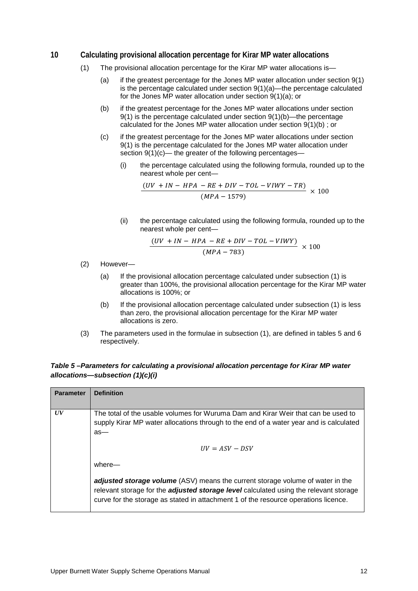#### **10 Calculating provisional allocation percentage for Kirar MP water allocations**

- (1) The provisional allocation percentage for the Kirar MP water allocations is—
	- (a) if the greatest percentage for the Jones MP water allocation under section 9(1) is the percentage calculated under section 9(1)(a)—the percentage calculated for the Jones MP water allocation under section 9(1)(a); or
	- (b) if the greatest percentage for the Jones MP water allocations under section 9(1) is the percentage calculated under section 9(1)(b)—the percentage calculated for the Jones MP water allocation under section 9(1)(b) ; or
	- (c) if the greatest percentage for the Jones MP water allocations under section 9(1) is the percentage calculated for the Jones MP water allocation under section 9(1)(c)— the greater of the following percentages—
		- (i) the percentage calculated using the following formula, rounded up to the nearest whole per cent—

$$
\frac{(UV + IN - HPA - RE + DIV - TOL - VIWY - TR)}{(MPA - 1579)} \times 100
$$

(ii) the percentage calculated using the following formula, rounded up to the nearest whole per cent—

$$
\frac{(UV + IN - HPA - RE + DIV - TOL - VIWY)}{(MPA - 783)} \times 100
$$

- (2) However—
	- (a) If the provisional allocation percentage calculated under subsection (1) is greater than 100%, the provisional allocation percentage for the Kirar MP water allocations is 100%; or
	- (b) If the provisional allocation percentage calculated under subsection (1) is less than zero, the provisional allocation percentage for the Kirar MP water allocations is zero.
- (3) The parameters used in the formulae in subsection (1), are defined in tables 5 and 6 respectively.

#### *Table 5 –Parameters for calculating a provisional allocation percentage for Kirar MP water allocations—subsection (1)(c)(i)*

| <b>Parameter</b> | <b>Definition</b>                                                                                                                                                                                                                                                     |  |
|------------------|-----------------------------------------------------------------------------------------------------------------------------------------------------------------------------------------------------------------------------------------------------------------------|--|
| UV               | The total of the usable volumes for Wuruma Dam and Kirar Weir that can be used to<br>supply Kirar MP water allocations through to the end of a water year and is calculated<br>$as-$                                                                                  |  |
|                  | $UV = ASV - DSV$                                                                                                                                                                                                                                                      |  |
|                  | where—                                                                                                                                                                                                                                                                |  |
|                  | adjusted storage volume (ASV) means the current storage volume of water in the<br>relevant storage for the <b>adjusted storage level</b> calculated using the relevant storage<br>curve for the storage as stated in attachment 1 of the resource operations licence. |  |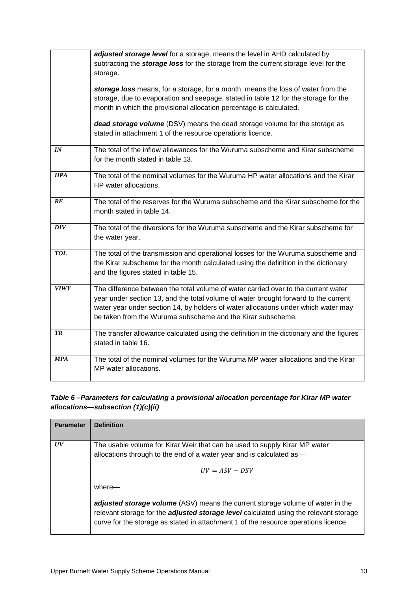|             | adjusted storage level for a storage, means the level in AHD calculated by<br>subtracting the storage loss for the storage from the current storage level for the<br>storage.                                                                                                                                                  |
|-------------|--------------------------------------------------------------------------------------------------------------------------------------------------------------------------------------------------------------------------------------------------------------------------------------------------------------------------------|
|             | storage loss means, for a storage, for a month, means the loss of water from the<br>storage, due to evaporation and seepage, stated in table 12 for the storage for the<br>month in which the provisional allocation percentage is calculated.                                                                                 |
|             | dead storage volume (DSV) means the dead storage volume for the storage as<br>stated in attachment 1 of the resource operations licence.                                                                                                                                                                                       |
| IN          | The total of the inflow allowances for the Wuruma subscheme and Kirar subscheme<br>for the month stated in table 13.                                                                                                                                                                                                           |
| <b>HPA</b>  | The total of the nominal volumes for the Wuruma HP water allocations and the Kirar<br>HP water allocations.                                                                                                                                                                                                                    |
| RE          | The total of the reserves for the Wuruma subscheme and the Kirar subscheme for the<br>month stated in table 14.                                                                                                                                                                                                                |
| DIV         | The total of the diversions for the Wuruma subscheme and the Kirar subscheme for<br>the water year.                                                                                                                                                                                                                            |
| <b>TOL</b>  | The total of the transmission and operational losses for the Wuruma subscheme and<br>the Kirar subscheme for the month calculated using the definition in the dictionary<br>and the figures stated in table 15.                                                                                                                |
| <b>VIWY</b> | The difference between the total volume of water carried over to the current water<br>year under section 13, and the total volume of water brought forward to the current<br>water year under section 14, by holders of water allocations under which water may<br>be taken from the Wuruma subscheme and the Kirar subscheme. |
| <b>TR</b>   | The transfer allowance calculated using the definition in the dictionary and the figures<br>stated in table 16.                                                                                                                                                                                                                |
| <b>MPA</b>  | The total of the nominal volumes for the Wuruma MP water allocations and the Kirar<br>MP water allocations.                                                                                                                                                                                                                    |

## *Table 6 –Parameters for calculating a provisional allocation percentage for Kirar MP water allocations—subsection (1)(c)(ii)*

| <b>Parameter</b> | <b>Definition</b>                                                                                                                                                                                                                                                            |  |
|------------------|------------------------------------------------------------------------------------------------------------------------------------------------------------------------------------------------------------------------------------------------------------------------------|--|
| U V              | The usable volume for Kirar Weir that can be used to supply Kirar MP water<br>allocations through to the end of a water year and is calculated as-                                                                                                                           |  |
|                  | $UV = ASV - DSV$                                                                                                                                                                                                                                                             |  |
|                  | where—                                                                                                                                                                                                                                                                       |  |
|                  | <b>adjusted storage volume</b> (ASV) means the current storage volume of water in the<br>relevant storage for the <i>adjusted storage level</i> calculated using the relevant storage<br>curve for the storage as stated in attachment 1 of the resource operations licence. |  |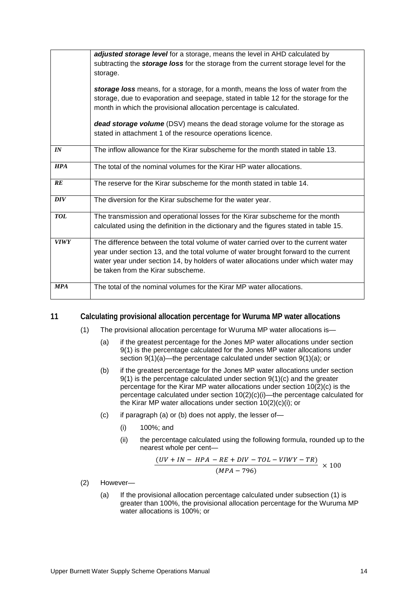|             | subtracting the <i>storage loss</i> for the storage from the current storage level for the<br>storage.                                                                                                                                         |
|-------------|------------------------------------------------------------------------------------------------------------------------------------------------------------------------------------------------------------------------------------------------|
|             |                                                                                                                                                                                                                                                |
|             | storage loss means, for a storage, for a month, means the loss of water from the<br>storage, due to evaporation and seepage, stated in table 12 for the storage for the<br>month in which the provisional allocation percentage is calculated. |
|             | <b>dead storage volume</b> (DSV) means the dead storage volume for the storage as                                                                                                                                                              |
|             | stated in attachment 1 of the resource operations licence.                                                                                                                                                                                     |
| IN          | The inflow allowance for the Kirar subscheme for the month stated in table 13.                                                                                                                                                                 |
| <b>HPA</b>  | The total of the nominal volumes for the Kirar HP water allocations.                                                                                                                                                                           |
| RE          | The reserve for the Kirar subscheme for the month stated in table 14.                                                                                                                                                                          |
| DIV         | The diversion for the Kirar subscheme for the water year.                                                                                                                                                                                      |
| <b>TOL</b>  | The transmission and operational losses for the Kirar subscheme for the month                                                                                                                                                                  |
|             | calculated using the definition in the dictionary and the figures stated in table 15.                                                                                                                                                          |
| <b>VIWY</b> | The difference between the total volume of water carried over to the current water                                                                                                                                                             |
|             | year under section 13, and the total volume of water brought forward to the current                                                                                                                                                            |
|             | water year under section 14, by holders of water allocations under which water may<br>be taken from the Kirar subscheme.                                                                                                                       |
|             |                                                                                                                                                                                                                                                |
| <b>MPA</b>  | The total of the nominal volumes for the Kirar MP water allocations.                                                                                                                                                                           |

#### **11 Calculating provisional allocation percentage for Wuruma MP water allocations**

- (1) The provisional allocation percentage for Wuruma MP water allocations is—
	- (a) if the greatest percentage for the Jones MP water allocations under section 9(1) is the percentage calculated for the Jones MP water allocations under section 9(1)(a)—the percentage calculated under section 9(1)(a); or
	- (b) if the greatest percentage for the Jones MP water allocations under section 9(1) is the percentage calculated under section 9(1)(c) and the greater percentage for the Kirar MP water allocations under section 10(2)(c) is the percentage calculated under section 10(2)(c)(i)—the percentage calculated for the Kirar MP water allocations under section 10(2)(c)(i); or
	- (c) if paragraph (a) or (b) does not apply, the lesser of—
		- (i) 100%; and
		- (ii) the percentage calculated using the following formula, rounded up to the nearest whole per cent—

$$
\frac{(UV + IN - HPA - RE + DIV - TOL - VIWY - TR)}{(MPA - 796)} \times 100
$$

- (2) However—
	- (a) If the provisional allocation percentage calculated under subsection (1) is greater than 100%, the provisional allocation percentage for the Wuruma MP water allocations is 100%; or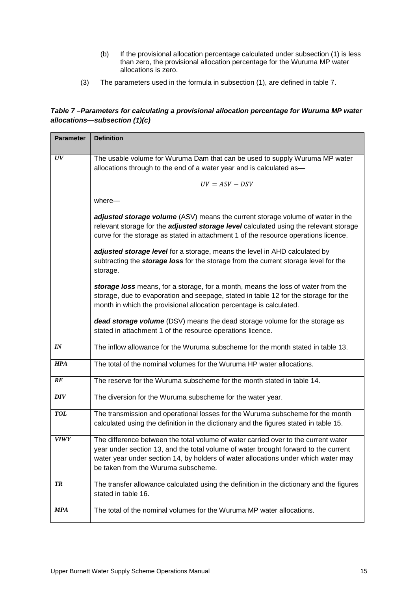- (b) If the provisional allocation percentage calculated under subsection (1) is less than zero, the provisional allocation percentage for the Wuruma MP water allocations is zero.
- (3) The parameters used in the formula in subsection (1), are defined in table 7.

#### *Table 7 –Parameters for calculating a provisional allocation percentage for Wuruma MP water allocations—subsection (1)(c)*

| <b>Parameter</b> | <b>Definition</b>                                                                                                                                                                                                                                                                                      |  |
|------------------|--------------------------------------------------------------------------------------------------------------------------------------------------------------------------------------------------------------------------------------------------------------------------------------------------------|--|
|                  |                                                                                                                                                                                                                                                                                                        |  |
| UV               | The usable volume for Wuruma Dam that can be used to supply Wuruma MP water<br>allocations through to the end of a water year and is calculated as-                                                                                                                                                    |  |
|                  | $UV = ASV - DSV$                                                                                                                                                                                                                                                                                       |  |
|                  | where-                                                                                                                                                                                                                                                                                                 |  |
|                  | adjusted storage volume (ASV) means the current storage volume of water in the<br>relevant storage for the <i>adjusted storage level</i> calculated using the relevant storage<br>curve for the storage as stated in attachment 1 of the resource operations licence.                                  |  |
|                  | adjusted storage level for a storage, means the level in AHD calculated by<br>subtracting the <i>storage loss</i> for the storage from the current storage level for the<br>storage.                                                                                                                   |  |
|                  | storage loss means, for a storage, for a month, means the loss of water from the<br>storage, due to evaporation and seepage, stated in table 12 for the storage for the<br>month in which the provisional allocation percentage is calculated.                                                         |  |
|                  | dead storage volume (DSV) means the dead storage volume for the storage as<br>stated in attachment 1 of the resource operations licence.                                                                                                                                                               |  |
| $\boldsymbol{I}$ | The inflow allowance for the Wuruma subscheme for the month stated in table 13.                                                                                                                                                                                                                        |  |
| <b>HPA</b>       | The total of the nominal volumes for the Wuruma HP water allocations.                                                                                                                                                                                                                                  |  |
| RE               | The reserve for the Wuruma subscheme for the month stated in table 14.                                                                                                                                                                                                                                 |  |
| <b>DIV</b>       | The diversion for the Wuruma subscheme for the water year.                                                                                                                                                                                                                                             |  |
| <b>TOL</b>       | The transmission and operational losses for the Wuruma subscheme for the month<br>calculated using the definition in the dictionary and the figures stated in table 15.                                                                                                                                |  |
| <b>VIWY</b>      | The difference between the total volume of water carried over to the current water<br>year under section 13, and the total volume of water brought forward to the current<br>water year under section 14, by holders of water allocations under which water may<br>be taken from the Wuruma subscheme. |  |
| TR               | The transfer allowance calculated using the definition in the dictionary and the figures<br>stated in table 16.                                                                                                                                                                                        |  |
| <b>MPA</b>       | The total of the nominal volumes for the Wuruma MP water allocations.                                                                                                                                                                                                                                  |  |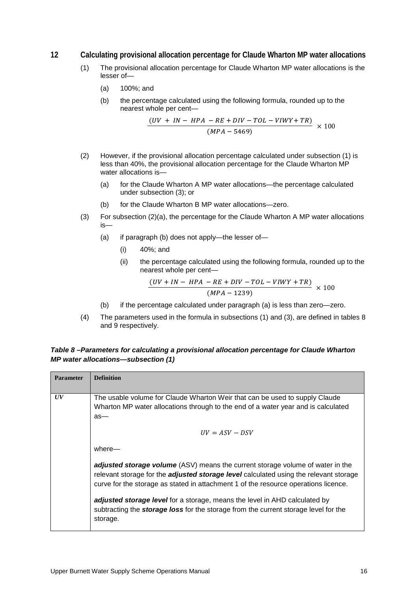**12 Calculating provisional allocation percentage for Claude Wharton MP water allocations**

- (1) The provisional allocation percentage for Claude Wharton MP water allocations is the lesser of—
	- (a) 100%; and
	- (b) the percentage calculated using the following formula, rounded up to the nearest whole per cent—

$$
\frac{(UV + IN - HPA - RE + DIV - TOL - VIWY + TR)}{(MPA - 5469)} \times 100
$$

- (2) However, if the provisional allocation percentage calculated under subsection (1) is less than 40%, the provisional allocation percentage for the Claude Wharton MP water allocations is—
	- (a) for the Claude Wharton A MP water allocations—the percentage calculated under subsection (3); or
	- (b) for the Claude Wharton B MP water allocations—zero.
- (3) For subsection (2)(a), the percentage for the Claude Wharton A MP water allocations is—
	- (a) if paragraph (b) does not apply—the lesser of—
		- (i) 40%; and
		- (ii) the percentage calculated using the following formula, rounded up to the nearest whole per cent—

$$
\frac{(UV + IN - HPA - RE + DIV - TOL - VIWY + TR)}{(MPA - 1239)} \times 100
$$

- (b) if the percentage calculated under paragraph (a) is less than zero—zero.
- (4) The parameters used in the formula in subsections (1) and (3), are defined in tables 8 and 9 respectively.

#### *Table 8 –Parameters for calculating a provisional allocation percentage for Claude Wharton MP water allocations—subsection (1)*

| <b>Parameter</b> | <b>Definition</b>                                                                                                                                                                                                                                                            |  |
|------------------|------------------------------------------------------------------------------------------------------------------------------------------------------------------------------------------------------------------------------------------------------------------------------|--|
|                  |                                                                                                                                                                                                                                                                              |  |
| UV               | The usable volume for Claude Wharton Weir that can be used to supply Claude<br>Wharton MP water allocations through to the end of a water year and is calculated<br>$as-$                                                                                                    |  |
|                  | $UV = ASV - DSV$                                                                                                                                                                                                                                                             |  |
|                  | where-                                                                                                                                                                                                                                                                       |  |
|                  | <b>adjusted storage volume</b> (ASV) means the current storage volume of water in the<br>relevant storage for the <b>adjusted storage level</b> calculated using the relevant storage<br>curve for the storage as stated in attachment 1 of the resource operations licence. |  |
|                  | <b>adjusted storage level</b> for a storage, means the level in AHD calculated by<br>subtracting the <b>storage loss</b> for the storage from the current storage level for the<br>storage.                                                                                  |  |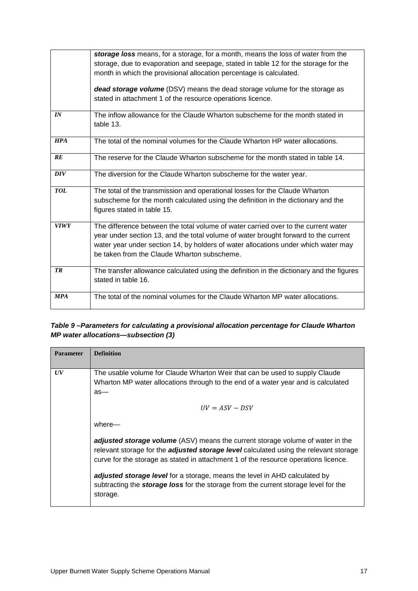|             | storage loss means, for a storage, for a month, means the loss of water from the           |
|-------------|--------------------------------------------------------------------------------------------|
|             | storage, due to evaporation and seepage, stated in table 12 for the storage for the        |
|             | month in which the provisional allocation percentage is calculated.                        |
|             | dead storage volume (DSV) means the dead storage volume for the storage as                 |
|             | stated in attachment 1 of the resource operations licence.                                 |
|             |                                                                                            |
| IN          | The inflow allowance for the Claude Wharton subscheme for the month stated in<br>table 13. |
| <b>HPA</b>  | The total of the nominal volumes for the Claude Wharton HP water allocations.              |
| RE          | The reserve for the Claude Wharton subscheme for the month stated in table 14.             |
| DIV         | The diversion for the Claude Wharton subscheme for the water year.                         |
| <b>TOL</b>  | The total of the transmission and operational losses for the Claude Wharton                |
|             | subscheme for the month calculated using the definition in the dictionary and the          |
|             | figures stated in table 15.                                                                |
| <b>VIWY</b> | The difference between the total volume of water carried over to the current water         |
|             | year under section 13, and the total volume of water brought forward to the current        |
|             | water year under section 14, by holders of water allocations under which water may         |
|             | be taken from the Claude Wharton subscheme.                                                |
| TR          | The transfer allowance calculated using the definition in the dictionary and the figures   |
|             | stated in table 16.                                                                        |
| <b>MPA</b>  | The total of the nominal volumes for the Claude Wharton MP water allocations.              |

## *Table 9 –Parameters for calculating a provisional allocation percentage for Claude Wharton MP water allocations—subsection (3)*

| <b>Parameter</b> | <b>Definition</b>                                                                                                                                                                                                                                                     |  |  |  |  |  |
|------------------|-----------------------------------------------------------------------------------------------------------------------------------------------------------------------------------------------------------------------------------------------------------------------|--|--|--|--|--|
| UV               | The usable volume for Claude Wharton Weir that can be used to supply Claude<br>Wharton MP water allocations through to the end of a water year and is calculated<br>$as -$                                                                                            |  |  |  |  |  |
|                  | $UV = ASV - DSV$                                                                                                                                                                                                                                                      |  |  |  |  |  |
|                  | where-                                                                                                                                                                                                                                                                |  |  |  |  |  |
|                  | adjusted storage volume (ASV) means the current storage volume of water in the<br>relevant storage for the <b>adjusted storage level</b> calculated using the relevant storage<br>curve for the storage as stated in attachment 1 of the resource operations licence. |  |  |  |  |  |
|                  | <b>adjusted storage level</b> for a storage, means the level in AHD calculated by<br>subtracting the <i>storage loss</i> for the storage from the current storage level for the<br>storage.                                                                           |  |  |  |  |  |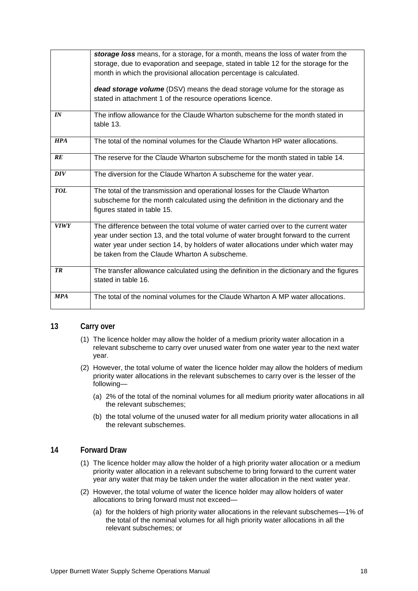|             | storage loss means, for a storage, for a month, means the loss of water from the           |
|-------------|--------------------------------------------------------------------------------------------|
|             | storage, due to evaporation and seepage, stated in table 12 for the storage for the        |
|             | month in which the provisional allocation percentage is calculated.                        |
|             |                                                                                            |
|             | dead storage volume (DSV) means the dead storage volume for the storage as                 |
|             | stated in attachment 1 of the resource operations licence.                                 |
| IN          | The inflow allowance for the Claude Wharton subscheme for the month stated in<br>table 13. |
| <b>HPA</b>  | The total of the nominal volumes for the Claude Wharton HP water allocations.              |
| RE          | The reserve for the Claude Wharton subscheme for the month stated in table 14.             |
| <b>DIV</b>  | The diversion for the Claude Wharton A subscheme for the water year.                       |
| <b>TOL</b>  | The total of the transmission and operational losses for the Claude Wharton                |
|             | subscheme for the month calculated using the definition in the dictionary and the          |
|             | figures stated in table 15.                                                                |
| <b>VIWY</b> | The difference between the total volume of water carried over to the current water         |
|             | year under section 13, and the total volume of water brought forward to the current        |
|             | water year under section 14, by holders of water allocations under which water may         |
|             | be taken from the Claude Wharton A subscheme.                                              |
| <b>TR</b>   | The transfer allowance calculated using the definition in the dictionary and the figures   |
|             | stated in table 16.                                                                        |
|             |                                                                                            |
| <b>MPA</b>  | The total of the nominal volumes for the Claude Wharton A MP water allocations.            |
|             |                                                                                            |

#### **13 Carry over**

- (1) The licence holder may allow the holder of a medium priority water allocation in a relevant subscheme to carry over unused water from one water year to the next water year.
- (2) However, the total volume of water the licence holder may allow the holders of medium priority water allocations in the relevant subschemes to carry over is the lesser of the following—
	- (a) 2% of the total of the nominal volumes for all medium priority water allocations in all the relevant subschemes;
	- (b) the total volume of the unused water for all medium priority water allocations in all the relevant subschemes.

#### **14 Forward Draw**

- (1) The licence holder may allow the holder of a high priority water allocation or a medium priority water allocation in a relevant subscheme to bring forward to the current water year any water that may be taken under the water allocation in the next water year.
- (2) However, the total volume of water the licence holder may allow holders of water allocations to bring forward must not exceed—
	- (a) for the holders of high priority water allocations in the relevant subschemes—1% of the total of the nominal volumes for all high priority water allocations in all the relevant subschemes; or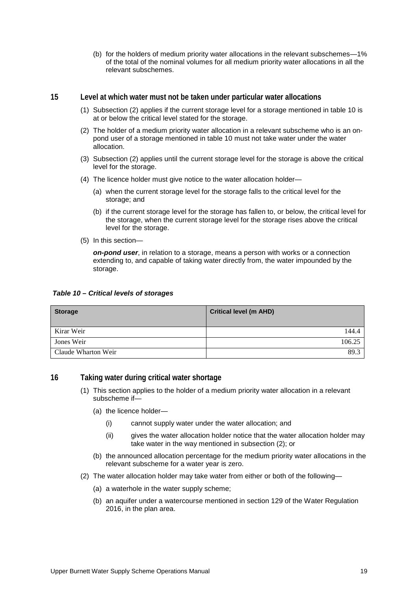(b) for the holders of medium priority water allocations in the relevant subschemes—1% of the total of the nominal volumes for all medium priority water allocations in all the relevant subschemes.

#### **15 Level at which water must not be taken under particular water allocations**

- (1) Subsection (2) applies if the current storage level for a storage mentioned in table 10 is at or below the critical level stated for the storage.
- (2) The holder of a medium priority water allocation in a relevant subscheme who is an onpond user of a storage mentioned in table 10 must not take water under the water allocation.
- (3) Subsection (2) applies until the current storage level for the storage is above the critical level for the storage.
- (4) The licence holder must give notice to the water allocation holder—
	- (a) when the current storage level for the storage falls to the critical level for the storage; and
	- (b) if the current storage level for the storage has fallen to, or below, the critical level for the storage, when the current storage level for the storage rises above the critical level for the storage.
- (5) In this section—

*on-pond user*, in relation to a storage, means a person with works or a connection extending to, and capable of taking water directly from, the water impounded by the storage.

#### *Table 10 – Critical levels of storages*

| <b>Storage</b>      | <b>Critical level (m AHD)</b> |
|---------------------|-------------------------------|
| Kirar Weir          | 144.4                         |
| Jones Weir          | 106.25                        |
| Claude Wharton Weir | 89.3                          |

#### **16 Taking water during critical water shortage**

- (1) This section applies to the holder of a medium priority water allocation in a relevant subscheme if—
	- (a) the licence holder—
		- (i) cannot supply water under the water allocation; and
		- (ii) gives the water allocation holder notice that the water allocation holder may take water in the way mentioned in subsection (2); or
	- (b) the announced allocation percentage for the medium priority water allocations in the relevant subscheme for a water year is zero.
- (2) The water allocation holder may take water from either or both of the following—
	- (a) a waterhole in the water supply scheme;
	- (b) an aquifer under a watercourse mentioned in section 129 of the Water Regulation 2016, in the plan area.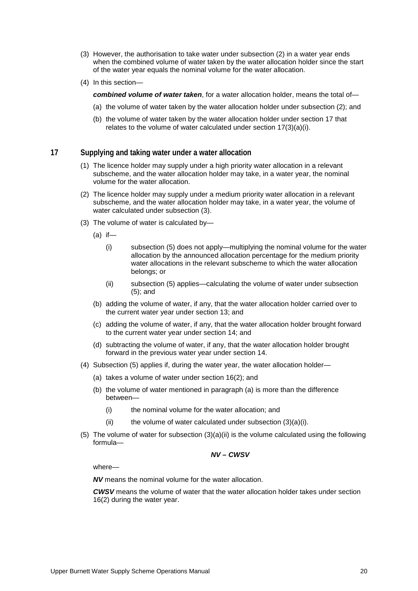- (3) However, the authorisation to take water under subsection (2) in a water year ends when the combined volume of water taken by the water allocation holder since the start of the water year equals the nominal volume for the water allocation.
- (4) In this section—

*combined volume of water taken*, for a water allocation holder, means the total of—

- (a) the volume of water taken by the water allocation holder under subsection (2); and
- (b) the volume of water taken by the water allocation holder under section 17 that relates to the volume of water calculated under section 17(3)(a)(i).

#### **17 Supplying and taking water under a water allocation**

- (1) The licence holder may supply under a high priority water allocation in a relevant subscheme, and the water allocation holder may take, in a water year, the nominal volume for the water allocation.
- (2) The licence holder may supply under a medium priority water allocation in a relevant subscheme, and the water allocation holder may take, in a water year, the volume of water calculated under subsection (3).
- (3) The volume of water is calculated by—
	- $(a)$  if-
		- (i) subsection (5) does not apply—multiplying the nominal volume for the water allocation by the announced allocation percentage for the medium priority water allocations in the relevant subscheme to which the water allocation belongs; or
		- (ii) subsection (5) applies—calculating the volume of water under subsection (5); and
	- (b) adding the volume of water, if any, that the water allocation holder carried over to the current water year under section 13; and
	- (c) adding the volume of water, if any, that the water allocation holder brought forward to the current water year under section 14; and
	- (d) subtracting the volume of water, if any, that the water allocation holder brought forward in the previous water year under section 14.
- (4) Subsection (5) applies if, during the water year, the water allocation holder—
	- (a) takes a volume of water under section 16(2); and
	- (b) the volume of water mentioned in paragraph (a) is more than the difference between—
		- (i) the nominal volume for the water allocation; and
		- (ii) the volume of water calculated under subsection  $(3)(a)(i)$ .
- (5) The volume of water for subsection (3)(a)(ii) is the volume calculated using the following formula—

#### *NV – CWSV*

where—

*NV* means the nominal volume for the water allocation.

*CWSV* means the volume of water that the water allocation holder takes under section 16(2) during the water year.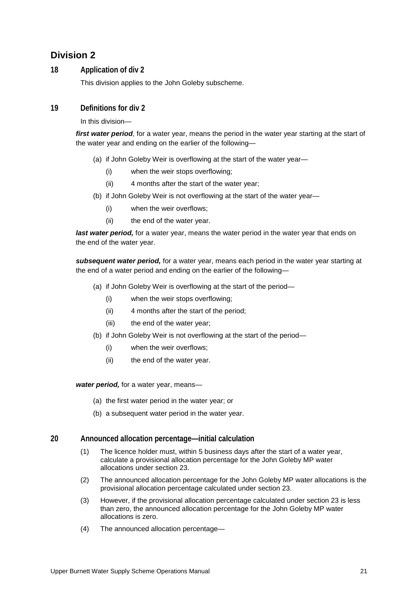## **Division 2**

#### **18 Application of div 2**

This division applies to the John Goleby subscheme.

### **19 Definitions for div 2**

#### In this division—

*first water period*, for a water year, means the period in the water year starting at the start of the water year and ending on the earlier of the following—

- (a) if John Goleby Weir is overflowing at the start of the water year—
	- (i) when the weir stops overflowing;
	- (ii) 4 months after the start of the water year;
- (b) if John Goleby Weir is not overflowing at the start of the water year—
	- (i) when the weir overflows;
	- (ii) the end of the water year.

*last water period*, for a water year, means the water period in the water year that ends on the end of the water year.

*subsequent water period,* for a water year, means each period in the water year starting at the end of a water period and ending on the earlier of the following—

- (a) if John Goleby Weir is overflowing at the start of the period—
	- (i) when the weir stops overflowing;
	- (ii) 4 months after the start of the period;
	- (iii) the end of the water year;
- (b) if John Goleby Weir is not overflowing at the start of the period—
	- (i) when the weir overflows;
	- (ii) the end of the water year.

*water period,* for a water year, means—

- (a) the first water period in the water year; or
- (b) a subsequent water period in the water year.

#### **20 Announced allocation percentage—initial calculation**

- (1) The licence holder must, within 5 business days after the start of a water year, calculate a provisional allocation percentage for the John Goleby MP water allocations under section 23.
- (2) The announced allocation percentage for the John Goleby MP water allocations is the provisional allocation percentage calculated under section 23.
- (3) However, if the provisional allocation percentage calculated under section 23 is less than zero, the announced allocation percentage for the John Goleby MP water allocations is zero.
- (4) The announced allocation percentage—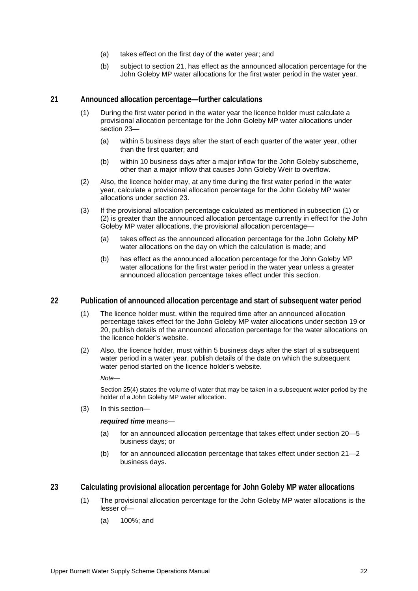- (a) takes effect on the first day of the water year; and
- (b) subject to section 21, has effect as the announced allocation percentage for the John Goleby MP water allocations for the first water period in the water year.

#### **21 Announced allocation percentage—further calculations**

- (1) During the first water period in the water year the licence holder must calculate a provisional allocation percentage for the John Goleby MP water allocations under section 23—
	- (a) within 5 business days after the start of each quarter of the water year, other than the first quarter; and
	- (b) within 10 business days after a major inflow for the John Goleby subscheme, other than a major inflow that causes John Goleby Weir to overflow.
- (2) Also, the licence holder may, at any time during the first water period in the water year, calculate a provisional allocation percentage for the John Goleby MP water allocations under section 23.
- (3) If the provisional allocation percentage calculated as mentioned in subsection (1) or (2) is greater than the announced allocation percentage currently in effect for the John Goleby MP water allocations, the provisional allocation percentage—
	- (a) takes effect as the announced allocation percentage for the John Goleby MP water allocations on the day on which the calculation is made; and
	- (b) has effect as the announced allocation percentage for the John Goleby MP water allocations for the first water period in the water year unless a greater announced allocation percentage takes effect under this section.

#### **22 Publication of announced allocation percentage and start of subsequent water period**

- (1) The licence holder must, within the required time after an announced allocation percentage takes effect for the John Goleby MP water allocations under section 19 or 20, publish details of the announced allocation percentage for the water allocations on the licence holder's website.
- (2) Also, the licence holder, must within 5 business days after the start of a subsequent water period in a water year, publish details of the date on which the subsequent water period started on the licence holder's website.

*Note—*

Section 25(4) states the volume of water that may be taken in a subsequent water period by the holder of a John Goleby MP water allocation.

(3) In this section—

#### *required time* means—

- (a) for an announced allocation percentage that takes effect under section 20—5 business days; or
- (b) for an announced allocation percentage that takes effect under section 21—2 business days.

#### **23 Calculating provisional allocation percentage for John Goleby MP water allocations**

- (1) The provisional allocation percentage for the John Goleby MP water allocations is the lesser of—
	- (a) 100%; and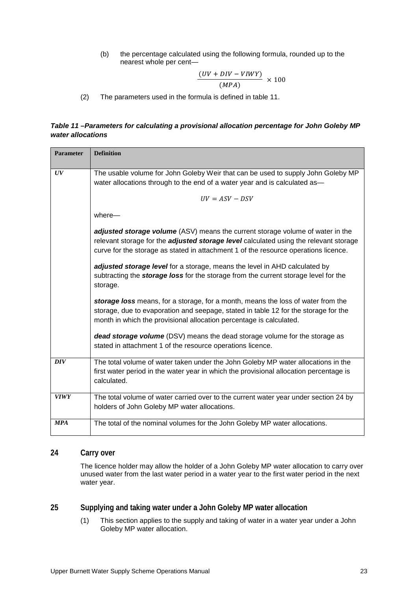(b) the percentage calculated using the following formula, rounded up to the nearest whole per cent—

$$
\frac{(UV + DIV - VIWY)}{(MPA)} \times 100
$$

(2) The parameters used in the formula is defined in table 11.

#### *Table 11 –Parameters for calculating a provisional allocation percentage for John Goleby MP water allocations*

| <b>Parameter</b> | <b>Definition</b>                                                                                                                                                                                                                                                     |  |  |  |  |  |  |
|------------------|-----------------------------------------------------------------------------------------------------------------------------------------------------------------------------------------------------------------------------------------------------------------------|--|--|--|--|--|--|
|                  |                                                                                                                                                                                                                                                                       |  |  |  |  |  |  |
| UV               | The usable volume for John Goleby Weir that can be used to supply John Goleby MP<br>water allocations through to the end of a water year and is calculated as-                                                                                                        |  |  |  |  |  |  |
|                  | $UV = ASV - DSV$                                                                                                                                                                                                                                                      |  |  |  |  |  |  |
|                  | where-                                                                                                                                                                                                                                                                |  |  |  |  |  |  |
|                  | adjusted storage volume (ASV) means the current storage volume of water in the<br>relevant storage for the <i>adjusted storage level</i> calculated using the relevant storage<br>curve for the storage as stated in attachment 1 of the resource operations licence. |  |  |  |  |  |  |
|                  | adjusted storage level for a storage, means the level in AHD calculated by<br>subtracting the storage loss for the storage from the current storage level for the<br>storage.                                                                                         |  |  |  |  |  |  |
|                  | storage loss means, for a storage, for a month, means the loss of water from the<br>storage, due to evaporation and seepage, stated in table 12 for the storage for the<br>month in which the provisional allocation percentage is calculated.                        |  |  |  |  |  |  |
|                  | dead storage volume (DSV) means the dead storage volume for the storage as<br>stated in attachment 1 of the resource operations licence.                                                                                                                              |  |  |  |  |  |  |
| <b>DIV</b>       | The total volume of water taken under the John Goleby MP water allocations in the<br>first water period in the water year in which the provisional allocation percentage is<br>calculated.                                                                            |  |  |  |  |  |  |
| <b>VIWY</b>      | The total volume of water carried over to the current water year under section 24 by<br>holders of John Goleby MP water allocations.                                                                                                                                  |  |  |  |  |  |  |
| <b>MPA</b>       | The total of the nominal volumes for the John Goleby MP water allocations.                                                                                                                                                                                            |  |  |  |  |  |  |

#### **24 Carry over**

The licence holder may allow the holder of a John Goleby MP water allocation to carry over unused water from the last water period in a water year to the first water period in the next water year.

**25 Supplying and taking water under a John Goleby MP water allocation**

(1) This section applies to the supply and taking of water in a water year under a John Goleby MP water allocation.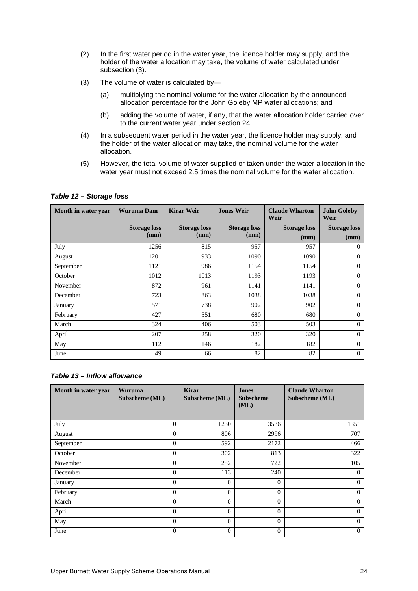- (2) In the first water period in the water year, the licence holder may supply, and the holder of the water allocation may take, the volume of water calculated under subsection (3).
- (3) The volume of water is calculated by—
	- (a) multiplying the nominal volume for the water allocation by the announced allocation percentage for the John Goleby MP water allocations; and
	- (b) adding the volume of water, if any, that the water allocation holder carried over to the current water year under section 24.
- (4) In a subsequent water period in the water year, the licence holder may supply, and the holder of the water allocation may take, the nominal volume for the water allocation.
- (5) However, the total volume of water supplied or taken under the water allocation in the water year must not exceed 2.5 times the nominal volume for the water allocation.

|  |  | Table 12 - Storage loss |  |
|--|--|-------------------------|--|
|--|--|-------------------------|--|

| Month in water year | <b>Wuruma Dam</b>           | <b>Kirar Weir</b>           | <b>Jones Weir</b>           | <b>Claude Wharton</b><br>Weir | <b>John Goleby</b><br>Weir  |
|---------------------|-----------------------------|-----------------------------|-----------------------------|-------------------------------|-----------------------------|
|                     | <b>Storage loss</b><br>(mm) | <b>Storage loss</b><br>(mm) | <b>Storage loss</b><br>(mm) | <b>Storage loss</b><br>(mm)   | <b>Storage loss</b><br>(mm) |
| July                | 1256                        | 815                         | 957                         | 957                           | $\Omega$                    |
|                     |                             |                             |                             |                               |                             |
| August              | 1201                        | 933                         | 1090                        | 1090                          | $\mathbf{0}$                |
| September           | 1121                        | 986                         | 1154                        | 1154                          | $\overline{0}$              |
| October             | 1012                        | 1013                        | 1193                        | 1193                          | $\overline{0}$              |
| November            | 872                         | 961                         | 1141                        | 1141                          | $\overline{0}$              |
| December            | 723                         | 863                         | 1038                        | 1038                          | $\overline{0}$              |
| January             | 571                         | 738                         | 902                         | 902                           | $\Omega$                    |
| February            | 427                         | 551                         | 680                         | 680                           | $\overline{0}$              |
| March               | 324                         | 406                         | 503                         | 503                           | $\Omega$                    |
| April               | 207                         | 258                         | 320                         | 320                           | $\overline{0}$              |
| May                 | 112                         | 146                         | 182                         | 182                           | $\overline{0}$              |
| June                | 49                          | 66                          | 82                          | 82                            | $\overline{0}$              |

*Table 13 – Inflow allowance*

| Month in water year | Wuruma<br>Subscheme (ML) | <b>Kirar</b><br>Subscheme (ML) | <b>Jones</b><br><b>Subscheme</b><br>(ML) | <b>Claude Wharton</b><br>Subscheme (ML) |
|---------------------|--------------------------|--------------------------------|------------------------------------------|-----------------------------------------|
| July                | $\Omega$                 | 1230                           | 3536                                     | 1351                                    |
| August              | $\Omega$                 | 806                            | 2996                                     | 707                                     |
| September           | $\Omega$                 | 592                            | 2172                                     | 466                                     |
| October             | $\Omega$                 | 302                            | 813                                      | 322                                     |
| November            | $\Omega$                 | 252                            | 722                                      | 105                                     |
| December            | $\Omega$                 | 113                            | 240                                      | $\overline{0}$                          |
| January             | $\Omega$                 | $\Omega$                       | $\theta$                                 | $\Omega$                                |
| February            | $\Omega$                 | $\theta$                       | $\theta$                                 | $\Omega$                                |
| March               | $\Omega$                 | $\theta$                       | $\overline{0}$                           | $\overline{0}$                          |
| April               | $\Omega$                 | $\Omega$                       | $\theta$                                 | $\Omega$                                |
| May                 | $\Omega$                 | $\theta$                       | $\overline{0}$                           | $\overline{0}$                          |
| June                | $\Omega$                 | $\Omega$                       | $\Omega$                                 | $\Omega$                                |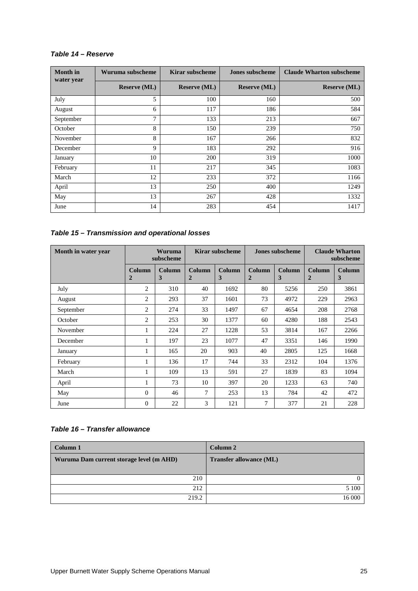| <b>Month</b> in<br>water year | Wuruma subscheme    | Kirar subscheme     | <b>Jones subscheme</b> | <b>Claude Wharton subscheme</b> |
|-------------------------------|---------------------|---------------------|------------------------|---------------------------------|
|                               | <b>Reserve (ML)</b> | <b>Reserve (ML)</b> | <b>Reserve (ML)</b>    | <b>Reserve (ML)</b>             |
| July                          | 5                   | 100                 | 160                    | 500                             |
| August                        | 6                   | 117                 | 186                    | 584                             |
| September                     | 7                   | 133                 | 213                    | 667                             |
| October                       | 8                   | 150                 | 239                    | 750                             |
| November                      | 8                   | 167                 | 266                    | 832                             |
| December                      | 9                   | 183                 | 292                    | 916                             |
| January                       | 10                  | 200                 | 319                    | 1000                            |
| February                      | 11                  | 217                 | 345                    | 1083                            |
| March                         | 12                  | 233                 | 372                    | 1166                            |
| April                         | 13                  | 250                 | 400                    | 1249                            |
| May                           | 13                  | 267                 | 428                    | 1332                            |
| June                          | 14                  | 283                 | 454                    | 1417                            |

#### *Table 14 – Reserve*

## *Table 15 – Transmission and operational losses*

| Month in water year | Wuruma<br>subscheme      |                    | <b>Kirar subscheme</b>        |             | <b>Jones subscheme</b>          |                    | <b>Claude Wharton</b><br>subscheme |                    |
|---------------------|--------------------------|--------------------|-------------------------------|-------------|---------------------------------|--------------------|------------------------------------|--------------------|
|                     | Column<br>$\overline{2}$ | <b>Column</b><br>3 | <b>Column</b><br>$\mathbf{2}$ | Column<br>3 | <b>Column</b><br>$\overline{2}$ | <b>Column</b><br>3 | Column<br>$\overline{2}$           | <b>Column</b><br>3 |
| July                | $\overline{2}$           | 310                | 40                            | 1692        | 80                              | 5256               | 250                                | 3861               |
| August              | 2                        | 293                | 37                            | 1601        | 73                              | 4972               | 229                                | 2963               |
| September           | 2                        | 274                | 33                            | 1497        | 67                              | 4654               | 208                                | 2768               |
| October             | $\overline{2}$           | 253                | 30                            | 1377        | 60                              | 4280               | 188                                | 2543               |
| November            |                          | 224                | 27                            | 1228        | 53                              | 3814               | 167                                | 2266               |
| December            | 1                        | 197                | 23                            | 1077        | 47                              | 3351               | 146                                | 1990               |
| January             | 1                        | 165                | 20                            | 903         | 40                              | 2805               | 125                                | 1668               |
| February            |                          | 136                | 17                            | 744         | 33                              | 2312               | 104                                | 1376               |
| March               |                          | 109                | 13                            | 591         | 27                              | 1839               | 83                                 | 1094               |
| April               |                          | 73                 | 10                            | 397         | 20                              | 1233               | 63                                 | 740                |
| May                 | $\Omega$                 | 46                 | 7                             | 253         | 13                              | 784                | 42                                 | 472                |
| June                | $\Omega$                 | 22                 | 3                             | 121         | 7                               | 377                | 21                                 | 228                |

#### *Table 16 – Transfer allowance*

| Column 1                                 | Column 2                       |
|------------------------------------------|--------------------------------|
| Wuruma Dam current storage level (m AHD) | <b>Transfer allowance (ML)</b> |
|                                          |                                |
| 210                                      | 0                              |
| 212                                      | 5 100                          |
| 219.2                                    | 16 000                         |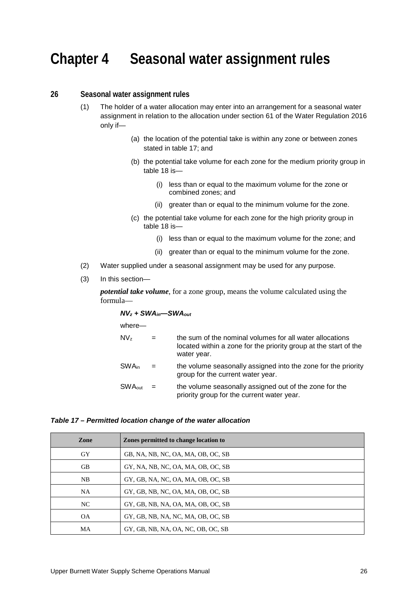## **Chapter 4 Seasonal water assignment rules**

#### **26 Seasonal water assignment rules**

- (1) The holder of a water allocation may enter into an arrangement for a seasonal water assignment in relation to the allocation under section 61 of the Water Regulation 2016 only if—
	- (a) the location of the potential take is within any zone or between zones stated in table 17; and
	- (b) the potential take volume for each zone for the medium priority group in table 18 is—
		- (i) less than or equal to the maximum volume for the zone or combined zones; and
		- (ii) greater than or equal to the minimum volume for the zone.
	- (c) the potential take volume for each zone for the high priority group in table 18 is—
		- (i) less than or equal to the maximum volume for the zone; and
		- (ii) greater than or equal to the minimum volume for the zone.
- (2) Water supplied under a seasonal assignment may be used for any purpose.
- (3) In this section—

*potential take volume*, for a zone group, means the volume calculated using the formula—

*NVz + SWAin—SWAout*

where—

| NV,      | $=$ | the sum of the nominal volumes for all water allocations<br>located within a zone for the priority group at the start of the<br>water year. |
|----------|-----|---------------------------------------------------------------------------------------------------------------------------------------------|
| SWAin.   | $=$ | the volume seasonally assigned into the zone for the priority<br>group for the current water year.                                          |
| SWAout . |     | the volume seasonally assigned out of the zone for the<br>priority group for the current water year.                                        |

#### *Table 17 – Permitted location change of the water allocation*

| <b>Zone</b> | Zones permitted to change location to |
|-------------|---------------------------------------|
| GY          | GB, NA, NB, NC, OA, MA, OB, OC, SB    |
| GВ          | GY, NA, NB, NC, OA, MA, OB, OC, SB    |
| NB          | GY, GB, NA, NC, OA, MA, OB, OC, SB    |
| <b>NA</b>   | GY, GB, NB, NC, OA, MA, OB, OC, SB    |
| NC.         | GY, GB, NB, NA, OA, MA, OB, OC, SB    |
| <b>OA</b>   | GY, GB, NB, NA, NC, MA, OB, OC, SB    |
| MA          | GY, GB, NB, NA, OA, NC, OB, OC, SB    |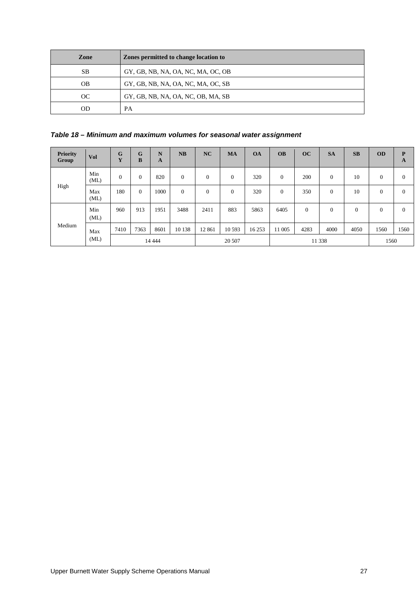| Zone      | Zones permitted to change location to |
|-----------|---------------------------------------|
| <b>SB</b> | GY, GB, NB, NA, OA, NC, MA, OC, OB    |
| OВ        | GY, GB, NB, NA, OA, NC, MA, OC, SB    |
| OС        | GY, GB, NB, NA, OA, NC, OB, MA, SB    |
| OD        | PА                                    |

### *Table 18 – Minimum and maximum volumes for seasonal water assignment*

| <b>Priority</b><br>Group | Vol         | G<br>Y       | G<br>B         | N<br>A | NB           | NC           | <b>MA</b> | <b>OA</b> | <b>OB</b>      | <b>OC</b>      | <b>SA</b>      | SB           | <b>OD</b>    | $\mathbf{P}$<br>A |
|--------------------------|-------------|--------------|----------------|--------|--------------|--------------|-----------|-----------|----------------|----------------|----------------|--------------|--------------|-------------------|
| High                     | Min<br>(ML) | $\mathbf{0}$ | $\overline{0}$ | 820    | $\mathbf{0}$ | $\mathbf{0}$ | $\theta$  | 320       | $\overline{0}$ | 200            | $\overline{0}$ | 10           | $\mathbf{0}$ | $\overline{0}$    |
|                          | Max<br>(ML) | 180          | $\Omega$       | 1000   | $\Omega$     | $\mathbf{0}$ | $\theta$  | 320       | $\theta$       | 350            | $\overline{0}$ | 10           | $\Omega$     | $\Omega$          |
| Medium                   | Min<br>(ML) | 960          | 913            | 1951   | 3488         | 2411         | 883       | 5863      | 6405           | $\overline{0}$ | $\overline{0}$ | $\mathbf{0}$ | $\mathbf{0}$ | $\mathbf{0}$      |
|                          | Max         | 7410         | 7363           | 8601   | 10 138       | 12 861       | 10 5 93   | 16 25 3   | 11 005         | 4283           | 4000           | 4050         | 1560         | 1560              |
|                          | (ML)        | 14 4 44      |                |        | 20 507       |              |           | 11 338    |                |                |                | 1560         |              |                   |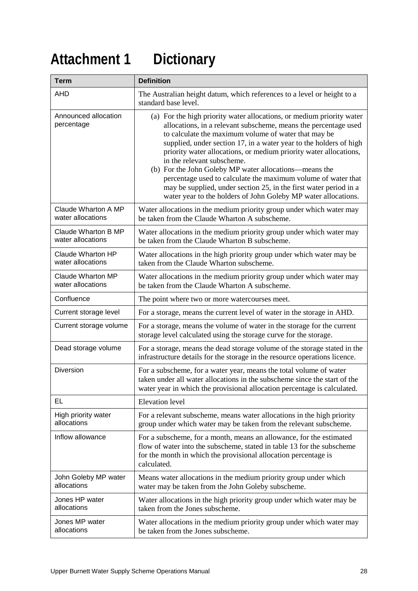# **Attachment 1 Dictionary**

| <b>Term</b>                              | <b>Definition</b>                                                                                                                                                                                                                                                                                                                                                                                                                                                                                                                                                                                                                           |
|------------------------------------------|---------------------------------------------------------------------------------------------------------------------------------------------------------------------------------------------------------------------------------------------------------------------------------------------------------------------------------------------------------------------------------------------------------------------------------------------------------------------------------------------------------------------------------------------------------------------------------------------------------------------------------------------|
| <b>AHD</b>                               | The Australian height datum, which references to a level or height to a<br>standard base level.                                                                                                                                                                                                                                                                                                                                                                                                                                                                                                                                             |
| Announced allocation<br>percentage       | (a) For the high priority water allocations, or medium priority water<br>allocations, in a relevant subscheme, means the percentage used<br>to calculate the maximum volume of water that may be<br>supplied, under section 17, in a water year to the holders of high<br>priority water allocations, or medium priority water allocations,<br>in the relevant subscheme.<br>(b) For the John Goleby MP water allocations—means the<br>percentage used to calculate the maximum volume of water that<br>may be supplied, under section 25, in the first water period in a<br>water year to the holders of John Goleby MP water allocations. |
| Claude Wharton A MP<br>water allocations | Water allocations in the medium priority group under which water may<br>be taken from the Claude Wharton A subscheme.                                                                                                                                                                                                                                                                                                                                                                                                                                                                                                                       |
| Claude Wharton B MP<br>water allocations | Water allocations in the medium priority group under which water may<br>be taken from the Claude Wharton B subscheme.                                                                                                                                                                                                                                                                                                                                                                                                                                                                                                                       |
| Claude Wharton HP<br>water allocations   | Water allocations in the high priority group under which water may be<br>taken from the Claude Wharton subscheme.                                                                                                                                                                                                                                                                                                                                                                                                                                                                                                                           |
| Claude Wharton MP<br>water allocations   | Water allocations in the medium priority group under which water may<br>be taken from the Claude Wharton A subscheme.                                                                                                                                                                                                                                                                                                                                                                                                                                                                                                                       |
| Confluence                               | The point where two or more watercourses meet.                                                                                                                                                                                                                                                                                                                                                                                                                                                                                                                                                                                              |
| Current storage level                    | For a storage, means the current level of water in the storage in AHD.                                                                                                                                                                                                                                                                                                                                                                                                                                                                                                                                                                      |
| Current storage volume                   | For a storage, means the volume of water in the storage for the current<br>storage level calculated using the storage curve for the storage.                                                                                                                                                                                                                                                                                                                                                                                                                                                                                                |
| Dead storage volume                      | For a storage, means the dead storage volume of the storage stated in the<br>infrastructure details for the storage in the resource operations licence.                                                                                                                                                                                                                                                                                                                                                                                                                                                                                     |
| <b>Diversion</b>                         | For a subscheme, for a water year, means the total volume of water<br>taken under all water allocations in the subscheme since the start of the<br>water year in which the provisional allocation percentage is calculated.                                                                                                                                                                                                                                                                                                                                                                                                                 |
| EL                                       | <b>Elevation</b> level                                                                                                                                                                                                                                                                                                                                                                                                                                                                                                                                                                                                                      |
| High priority water<br>allocations       | For a relevant subscheme, means water allocations in the high priority<br>group under which water may be taken from the relevant subscheme.                                                                                                                                                                                                                                                                                                                                                                                                                                                                                                 |
| Inflow allowance                         | For a subscheme, for a month, means an allowance, for the estimated<br>flow of water into the subscheme, stated in table 13 for the subscheme<br>for the month in which the provisional allocation percentage is<br>calculated.                                                                                                                                                                                                                                                                                                                                                                                                             |
| John Goleby MP water<br>allocations      | Means water allocations in the medium priority group under which<br>water may be taken from the John Goleby subscheme.                                                                                                                                                                                                                                                                                                                                                                                                                                                                                                                      |
| Jones HP water<br>allocations            | Water allocations in the high priority group under which water may be<br>taken from the Jones subscheme.                                                                                                                                                                                                                                                                                                                                                                                                                                                                                                                                    |
| Jones MP water<br>allocations            | Water allocations in the medium priority group under which water may<br>be taken from the Jones subscheme.                                                                                                                                                                                                                                                                                                                                                                                                                                                                                                                                  |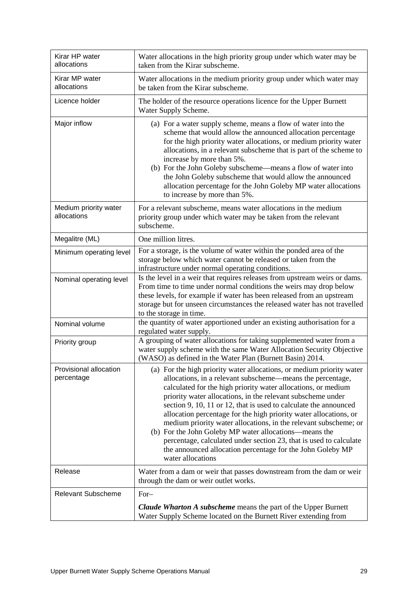| Kirar HP water<br>allocations        | Water allocations in the high priority group under which water may be<br>taken from the Kirar subscheme.                                                                                                                                                                                                                                                                                                                                                                                                                                                                                                                                                                                            |
|--------------------------------------|-----------------------------------------------------------------------------------------------------------------------------------------------------------------------------------------------------------------------------------------------------------------------------------------------------------------------------------------------------------------------------------------------------------------------------------------------------------------------------------------------------------------------------------------------------------------------------------------------------------------------------------------------------------------------------------------------------|
| Kirar MP water<br>allocations        | Water allocations in the medium priority group under which water may<br>be taken from the Kirar subscheme.                                                                                                                                                                                                                                                                                                                                                                                                                                                                                                                                                                                          |
| Licence holder                       | The holder of the resource operations licence for the Upper Burnett<br>Water Supply Scheme.                                                                                                                                                                                                                                                                                                                                                                                                                                                                                                                                                                                                         |
| Major inflow                         | (a) For a water supply scheme, means a flow of water into the<br>scheme that would allow the announced allocation percentage<br>for the high priority water allocations, or medium priority water<br>allocations, in a relevant subscheme that is part of the scheme to<br>increase by more than 5%.<br>(b) For the John Goleby subscheme—means a flow of water into<br>the John Goleby subscheme that would allow the announced<br>allocation percentage for the John Goleby MP water allocations<br>to increase by more than 5%.                                                                                                                                                                  |
| Medium priority water<br>allocations | For a relevant subscheme, means water allocations in the medium<br>priority group under which water may be taken from the relevant<br>subscheme.                                                                                                                                                                                                                                                                                                                                                                                                                                                                                                                                                    |
| Megalitre (ML)                       | One million litres.                                                                                                                                                                                                                                                                                                                                                                                                                                                                                                                                                                                                                                                                                 |
| Minimum operating level              | For a storage, is the volume of water within the ponded area of the<br>storage below which water cannot be released or taken from the<br>infrastructure under normal operating conditions.                                                                                                                                                                                                                                                                                                                                                                                                                                                                                                          |
| Nominal operating level              | Is the level in a weir that requires releases from upstream weirs or dams.<br>From time to time under normal conditions the weirs may drop below<br>these levels, for example if water has been released from an upstream<br>storage but for unseen circumstances the released water has not travelled<br>to the storage in time.                                                                                                                                                                                                                                                                                                                                                                   |
| Nominal volume                       | the quantity of water apportioned under an existing authorisation for a<br>regulated water supply.                                                                                                                                                                                                                                                                                                                                                                                                                                                                                                                                                                                                  |
| Priority group                       | A grouping of water allocations for taking supplemented water from a<br>water supply scheme with the same Water Allocation Security Objective<br>(WASO) as defined in the Water Plan (Burnett Basin) 2014.                                                                                                                                                                                                                                                                                                                                                                                                                                                                                          |
| Provisional allocation<br>percentage | (a) For the high priority water allocations, or medium priority water<br>allocations, in a relevant subscheme—means the percentage,<br>calculated for the high priority water allocations, or medium<br>priority water allocations, in the relevant subscheme under<br>section 9, 10, 11 or 12, that is used to calculate the announced<br>allocation percentage for the high priority water allocations, or<br>medium priority water allocations, in the relevant subscheme; or<br>(b) For the John Goleby MP water allocations—means the<br>percentage, calculated under section 23, that is used to calculate<br>the announced allocation percentage for the John Goleby MP<br>water allocations |
| Release                              | Water from a dam or weir that passes downstream from the dam or weir<br>through the dam or weir outlet works.                                                                                                                                                                                                                                                                                                                                                                                                                                                                                                                                                                                       |
| <b>Relevant Subscheme</b>            | For-                                                                                                                                                                                                                                                                                                                                                                                                                                                                                                                                                                                                                                                                                                |
|                                      | <b>Claude Wharton A subscheme</b> means the part of the Upper Burnett<br>Water Supply Scheme located on the Burnett River extending from                                                                                                                                                                                                                                                                                                                                                                                                                                                                                                                                                            |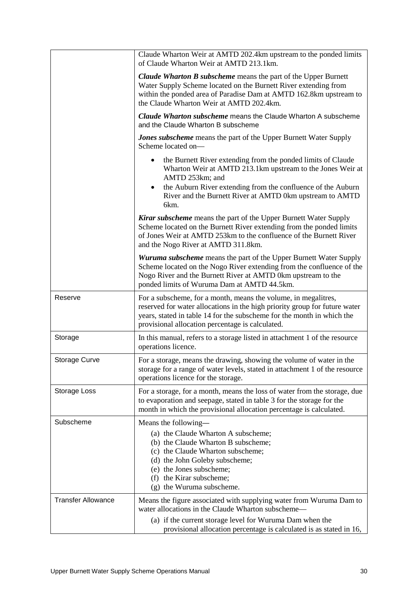|                           | Claude Wharton Weir at AMTD 202.4km upstream to the ponded limits<br>of Claude Wharton Weir at AMTD 213.1km.                                                                                                                                                               |  |
|---------------------------|----------------------------------------------------------------------------------------------------------------------------------------------------------------------------------------------------------------------------------------------------------------------------|--|
|                           | <b>Claude Wharton B subscheme</b> means the part of the Upper Burnett<br>Water Supply Scheme located on the Burnett River extending from<br>within the ponded area of Paradise Dam at AMTD 162.8km upstream to<br>the Claude Wharton Weir at AMTD 202.4km.                 |  |
|                           | <b>Claude Wharton subscheme</b> means the Claude Wharton A subscheme<br>and the Claude Wharton B subscheme                                                                                                                                                                 |  |
|                           | <b>Jones subscheme</b> means the part of the Upper Burnett Water Supply<br>Scheme located on-                                                                                                                                                                              |  |
|                           | the Burnett River extending from the ponded limits of Claude<br>$\bullet$<br>Wharton Weir at AMTD 213.1km upstream to the Jones Weir at<br>AMTD 253km; and<br>the Auburn River extending from the confluence of the Auburn                                                 |  |
|                           | River and the Burnett River at AMTD 0km upstream to AMTD<br>6km.                                                                                                                                                                                                           |  |
|                           | <b>Kirar subscheme</b> means the part of the Upper Burnett Water Supply<br>Scheme located on the Burnett River extending from the ponded limits<br>of Jones Weir at AMTD 253km to the confluence of the Burnett River<br>and the Nogo River at AMTD 311.8km.               |  |
|                           | <b>Wuruma subscheme</b> means the part of the Upper Burnett Water Supply<br>Scheme located on the Nogo River extending from the confluence of the<br>Nogo River and the Burnett River at AMTD 0km upstream to the<br>ponded limits of Wuruma Dam at AMTD 44.5km.           |  |
| Reserve                   | For a subscheme, for a month, means the volume, in megalitres,<br>reserved for water allocations in the high priority group for future water<br>years, stated in table 14 for the subscheme for the month in which the<br>provisional allocation percentage is calculated. |  |
| Storage                   | In this manual, refers to a storage listed in attachment 1 of the resource<br>operations licence.                                                                                                                                                                          |  |
| <b>Storage Curve</b>      | For a storage, means the drawing, showing the volume of water in the<br>storage for a range of water levels, stated in attachment 1 of the resource<br>operations licence for the storage.                                                                                 |  |
| Storage Loss              | For a storage, for a month, means the loss of water from the storage, due<br>to evaporation and seepage, stated in table 3 for the storage for the<br>month in which the provisional allocation percentage is calculated.                                                  |  |
| Subscheme                 | Means the following—<br>(a) the Claude Wharton A subscheme;<br>(b) the Claude Wharton B subscheme;<br>(c) the Claude Wharton subscheme;<br>(d) the John Goleby subscheme;<br>(e) the Jones subscheme;<br>(f) the Kirar subscheme;<br>(g) the Wuruma subscheme.             |  |
| <b>Transfer Allowance</b> | Means the figure associated with supplying water from Wuruma Dam to<br>water allocations in the Claude Wharton subscheme-<br>(a) if the current storage level for Wuruma Dam when the<br>provisional allocation percentage is calculated is as stated in 16,               |  |